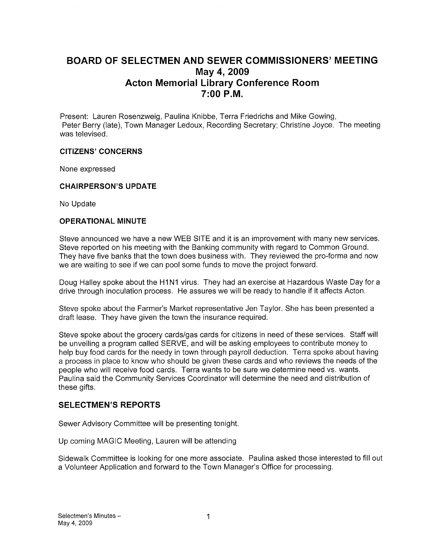## BOARD OF SELECTMEN AND SEWER COMMISSIONERS' MEETING May 4, 2009 Acton Memorial Library Conference Room 7:00 P.M.

Present: Lauren Rosenzweig, Paulina Knibbe, Terra Friedrichs and Mike Gowing, Peter Berry (late), Town Manager Ledoux, Recording Secretary; Christine Joyce. The meeting was televised.

#### CITIZENS' CONCERNS

None expressed

#### CHAIRPERSON'S UPDATE

No Update

#### OPERATIONAL MINUTE

Steve announced we have a new WEB SITE and it is an improvement with many new services. Steve reported on his meeting with the Banking community with regard to Common Ground. They have five banks that the town does business with. They reviewed the pro-forma and now we are waiting to see if we can pool some funds to move the project forward.

Doug Halley spoke about the H1N1 virus. They had an exercise at Hazardous Waste Day for a drive through inoculation process. He assures we will be ready to handle if it affects Acton.

Steve spoke about the Farmer's Market representative Jen Taylor. She has been presented a draft lease. They have given the town the insurance required.

Steve spoke about the grocery cards/gas cards for citizens in need of these services. Staff will be unveiling a program called SERVE, and will be asking employees to contribute money to help buy food cards for the needy in town through payroll deduction. Terra spoke about having a process in place to know who should be given these cards and who reviews the needs of the people who will receive food cards. Terra wants to be sure we determine need vs. wants. Paulina said the Community Services Coordinator will determine the need and distribution of these gifts.

#### SELECTMEN'S REPORTS

Sewer Advisory Committee will be presenting tonight.

Up coming MAGIC Meeting, Lauren will be attending

Sidewalk Committee is looking for one more associate. Paulina asked those interested to fill out a Volunteer Application and forward to the Town Manager's Office for processing.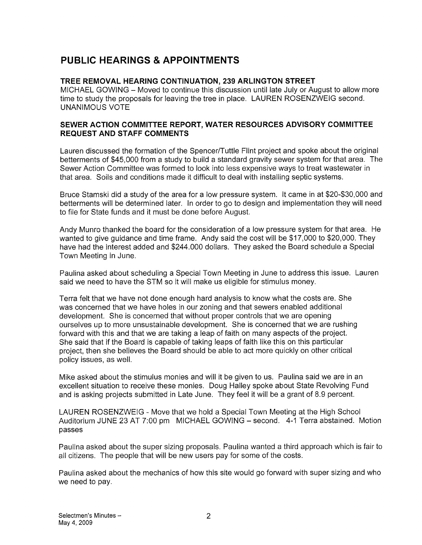# PUBLIC HEARINGS & APPOINTMENTS

## TREE REMOVAL HEARING CONTINUATION, 239 ARLINGTON STREET

MICHAEL GOWING — Moved to continue this discussion until late July or August to allow more time to study the proposals for leaving the tree in place. LAUREN ROSENZWEIG second. UNANIMOUS VOTE

### SEWER ACTION COMMITTEE REPORT, WATER RESOURCES ADVISORY COMMITTEE REQUEST AND STAFF COMMENTS

Lauren discussed the formation of the Spencer/Tuttle Flint project and spoke about the original betterments of \$45,000 from a study to build a standard gravity sewer system for that area. The Sewer Action Committee was formed to look into less expensive ways to treat wastewater in that area. Soils and conditions made it difficult to deal with installing septic systems.

Bruce Stamski did a study of the area for a low pressure system. It came in at \$20-\$30,000 and betterments will be determined later. In order to go to design and implementation they will need to file for State funds and it must be done before August.

Andy Munro thanked the board for the consideration of a low pressure system for that area. He wanted to give guidance and time frame. Andy said the cost will be \$17,000 to \$20,000. They have had the interest added and \$244.000 dollars. They asked the Board schedule a Special Town Meeting in June.

Paulina asked about scheduling a Special Town Meeting in June to address this issue. Lauren said we need to have the STM so it will make us eligible for stimulus money.

Terra felt that we have not done enough hard analysis to know what the costs are. She was concerned that we have holes in our zoning and that sewers enabled additional development. She is concerned that without proper controls that we are opening ourselves up to more unsustainable development. She is concerned that we are rushing forward with this and that we are taking a leap of faith on many aspects of the project. She said that if the Board is capable of taking leaps of faith like this on this particular project, then she believes the Board should be able to act more quickly on other critical policy issues, as well.

Mike asked about the stimulus monies and will it be given to us. Paulina said we are in an excellent situation to receive these monies. Doug Halley spoke about State Revolving Fund and is asking projects submitted in Late June. They feel it will be a grant of 8.9 percent.

LAUREN ROSENZWEIG - Move that we hold a Special Town Meeting at the High School Auditorium JUNE 23 AT 7:00 pm MICHAEL GOWING — second. 4-1 Terra abstained. Motion passes

Paulina asked about the super sizing proposals. Paulina wanted a third approach which is fair to all citizens. The people that will be new users pay for some of the costs.

Paulina asked about the mechanics of how this site would go forward with super sizing and who we need to pay.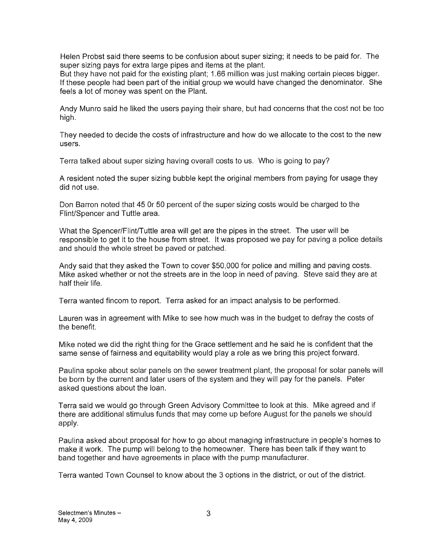Helen Probst said there seems to be confusion about super sizing; it needs to be paid for. The super sizing pays for extra large pipes and items at the plant.

But they have not paid for the existing plant; 1.66 million was just making certain pieces bigger. If these people had been part of the initial group we would have changed the denominator. She feels a lot of money was spent on the Plant.

Andy Munro said he liked the users paying their share, but had concerns that the cost not be too high.

They needed to decide the costs of infrastructure and how do we allocate to the cost to the new users.

Terra talked about super sizing having overall costs to us. Who is going to pay?

A resident noted the super sizing bubble kept the original members from paying for usage they did not use.

Don Barron noted that 45 Or 50 percent of the super sizing costs would be charged to the Flint/Spencer and Tuttle area.

What the Spencer/Flint/Tuttle area will get are the pipes in the street. The user will be responsible to get it to the house from street. It was proposed we pay for paving a police details and should the whole street be paved or patched.

Andy said that they asked the Town to cover \$50,000 for police and milling and paving costs. Mike asked whether or not the streets are in the loop in need of paving. Steve said they are at half their life.

Terra wanted fincom to report. Terra asked for an impact analysis to be performed.

Lauren was in agreement with Mike to see how much was in the budget to defray the costs of the benefit.

Mike noted we did the right thing for the Grace settlement and he said he is confident that the same sense of fairness and equitability would play a role as we bring this project forward.

Paulina spoke about solar panels on the sewer treatment plant, the proposal for solar panels will be born by the current and later users of the system and they will pay for the panels. Peter asked questions about the loan.

Terra said we would go through Green Advisory Committee to look at this. Mike agreed and if there are additional stimulus funds that may come up before August for the panels we should apply.

Paulina asked about proposal for how to go about managing infrastructure in people's homes to make it work. The pump will belong to the homeowner. There has been talk if they want to band together and have agreements in place with the pump manufacturer.

Terra wanted Town Counsel to know about the 3 options in the district, or out of the district.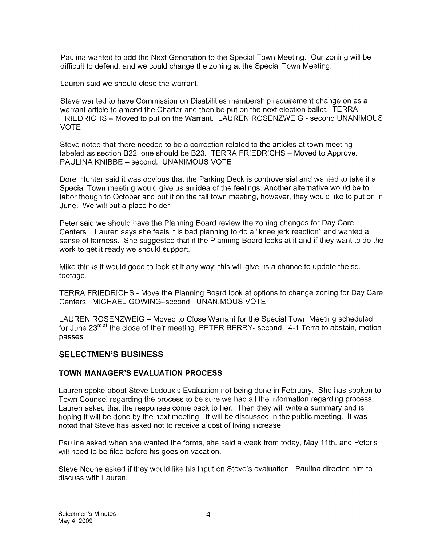Paulina wanted to add the Next Generation to the Special Town Meeting. Our zoning will be difficult to defend, and we could change the zoning at the Special Town Meeting.

Lauren said we should close the warrant.

Steve wanted to have Commission on Disabilities membership requirement change on as a warrant article to amend the Charter and then be put on the next election ballot. TERRA FRIEDRICHS — Moved to put on the Warrant. LAUREN ROSENZWEIG -second UNANIMOUS VOTE

Steve noted that there needed to be a correction related to the articles at town meeting labeled as section B22, one should be B23. TERRA FRIEDRICHS — Moved to Approve. PAULINA KNIBBE — second. UNANIMOUS VOTE

Dore' Hunter said it was obvious that the Parking Deck is controversial and wanted to take it a Special Town meeting would give us an idea of the feelings. Another alternative would be to labor though to October and put it on the fall town meeting, however, they would like to put on in June. We will put a place holder

Peter said we should have the Planning Board review the zoning changes for Day Care Centers.. Lauren says she feels it is bad planning to do a "knee jerk reaction" and wanted a sense of fairness. She suggested that if the Planning Board looks at it and if they want to do the work to get it ready we should support.

Mike thinks it would good to look at it any way; this will give us a chance to update the sq. footage.

TERRA FRIEDRICHS - Move the Planning Board look at options to change zoning for Day Care Centers. MICHAEL GOWING—second. UNANIMOUS VOTE

LAUREN ROSENZWEIG — Moved to Close Warrant for the Special Town Meeting scheduled for June 23<sup>rd at</sup> the close of their meeting. PETER BERRY- second. 4-1 Terra to abstain, motion passes

## SELECTMEN'S BUSINESS

#### TOWN MANAGER'S EVALUATION PROCESS

Lauren spoke about Steve Ledoux's Evaluation not being done in February. She has spoken to Town Counsel regarding the process to be sure we had all the information regarding process. Lauren asked that the responses come back to her. Then they will write a summary and is hoping it will be done by the next meeting. It will be discussed in the public meeting. It was noted that Steve has asked not to receive a cost of living increase.

Paulina asked when she wanted the forms, she said a week from today, May 11th, and Peter's will need to be filed before his goes on vacation.

Steve Noone asked if they would like his input on Steve's evaluation. Paulina directed him to discuss with Lauren.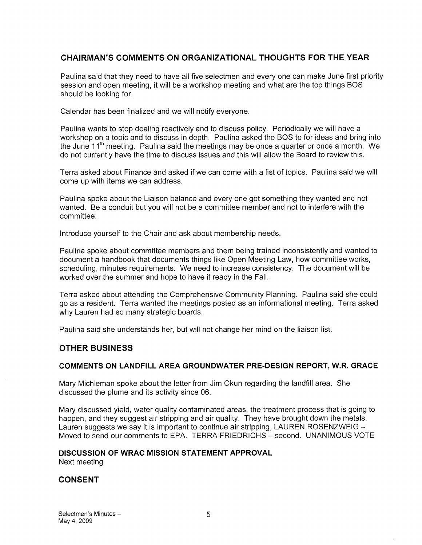## CHAIRMAN'S COMMENTS ON ORGANIZATIONAL THOUGHTS FOR THE YEAR

Paulina said that they need to have all five selectmen and every one can make June first priority session and open meeting, it will be a workshop meeting and what are the top things BOS should be looking for.

Calendar has been finalized and we will notify everyone.

Paulina wants to stop dealing reactively and to discuss policy. Periodically we will have a workshop on a topic and to discuss in depth. Paulina asked the BOS to for ideas and bring into the June  $11<sup>th</sup>$  meeting. Paulina said the meetings may be once a quarter or once a month. We do not currently have the time to discuss issues and this will allow the Board to review this.

Terra asked about Finance and asked if we can come with a list of topics. Paulina said we will come up with items we can address.

Paulina spoke about the Liaison balance and every one got something they wanted and not wanted. Be a conduit but you will not be a committee member and not to interfere with the committee.

Introduce yourself to the Chair and ask about membership needs.

Paulina spoke about committee members and them being trained inconsistently and wanted to document a handbook that documents things like Open Meeting Law, how committee works, scheduling, minutes requirements. We need to increase consistency. The document will be worked over the summer and hope to have it ready in the Fall.

Terra asked about attending the Comprehensive Community Planning. Paulina said she could go as a resident. Terra wanted the meetings posted as an informational meeting. Terra asked why Lauren had so many strategic boards.

Paulina said she understands her, but will not change her mind on the liaison list.

## OTHER BUSINESS

#### COMMENTS ON LANDFILL AREA GROUNDWATER PRE-DESIGN REPORT, W.R. GRACE

Mary Michleman spoke about the letter from Jim Okun regarding the landfill area. She discussed the plume and its activity since 06.

Mary discussed yield, water quality contaminated areas, the treatment process that is going to happen, and they suggest air stripping and air quality. They have brought down the metals. Lauren suggests we say it is important to continue air stripping, LAUREN ROSENZWEIG — Moved to send our comments to EPA. TERRA FRIEDRICHS — second. UNANIMOUS VOTE

## DISCUSSION OF WRAC MISSION STATEMENT APPROVAL

Next meeting

## CONSENT